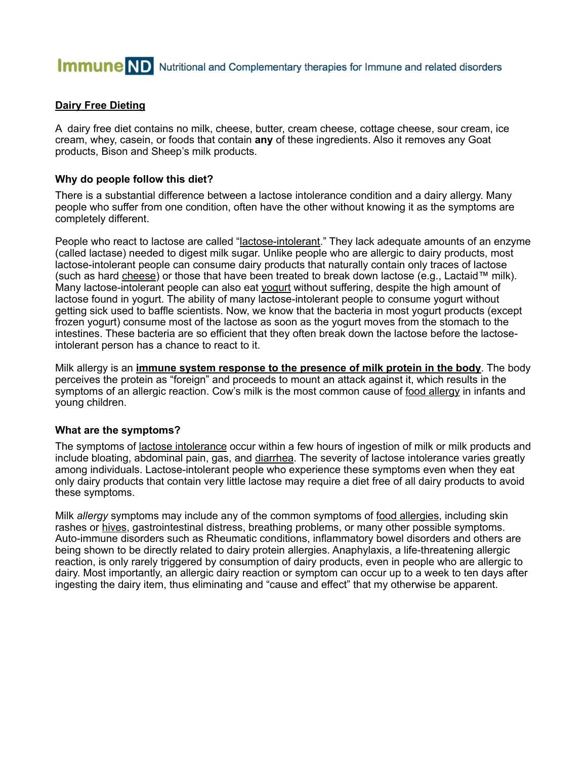# **Immune** ND Nutritional and Complementary therapies for Immune and related disorders

# **Dairy Free Dieting**

A dairy free diet contains no milk, cheese, butter, cream cheese, cottage cheese, sour cream, ice cream, whey, casein, or foods that contain **any** of these ingredients. Also it removes any Goat products, Bison and Sheep's milk products.

#### **Why do people follow this diet?**

There is a substantial difference between a lactose intolerance condition and a dairy allergy. Many people who suffer from one condition, often have the other without knowing it as the symptoms are completely different.

People who react to lactose are called "lactose-intolerant." They lack adequate amounts of an enzyme (called lactase) needed to digest milk sugar. Unlike people who are allergic to dairy products, most lactose-intolerant people can consume dairy products that naturally contain only traces of lactose (such as hard cheese) or those that have been treated to break down lactose (e.g., Lactaid™ milk). Many lactose-intolerant people can also eat yogurt without suffering, despite the high amount of lactose found in yogurt. The ability of many lactose-intolerant people to consume yogurt without getting sick used to baffle scientists. Now, we know that the bacteria in most yogurt products (except frozen yogurt) consume most of the lactose as soon as the yogurt moves from the stomach to the intestines. These bacteria are so efficient that they often break down the lactose before the lactoseintolerant person has a chance to react to it.

Milk allergy is an **immune system response to the presence of milk protein in the body**. The body perceives the protein as "foreign" and proceeds to mount an attack against it, which results in the symptoms of an allergic reaction. Cow's milk is the most common cause of food allergy in infants and young children.

#### **What are the symptoms?**

The symptoms of <u>lactose intolerance</u> occur within a few hours of ingestion of milk or milk products and include bloating, abdominal pain, gas, and diarrhea. The severity of lactose intolerance varies greatly among individuals. Lactose-intolerant people who experience these symptoms even when they eat only dairy products that contain very little lactose may require a diet free of all dairy products to avoid these symptoms.

Milk *allergy* symptoms may include any of the common symptoms of food allergies, including skin rashes or hives, gastrointestinal distress, breathing problems, or many other possible symptoms. Auto-immune disorders such as Rheumatic conditions, inflammatory bowel disorders and others are being shown to be directly related to dairy protein allergies. Anaphylaxis, a life-threatening allergic reaction, is only rarely triggered by consumption of dairy products, even in people who are allergic to dairy. Most importantly, an allergic dairy reaction or symptom can occur up to a week to ten days after ingesting the dairy item, thus eliminating and "cause and effect" that my otherwise be apparent.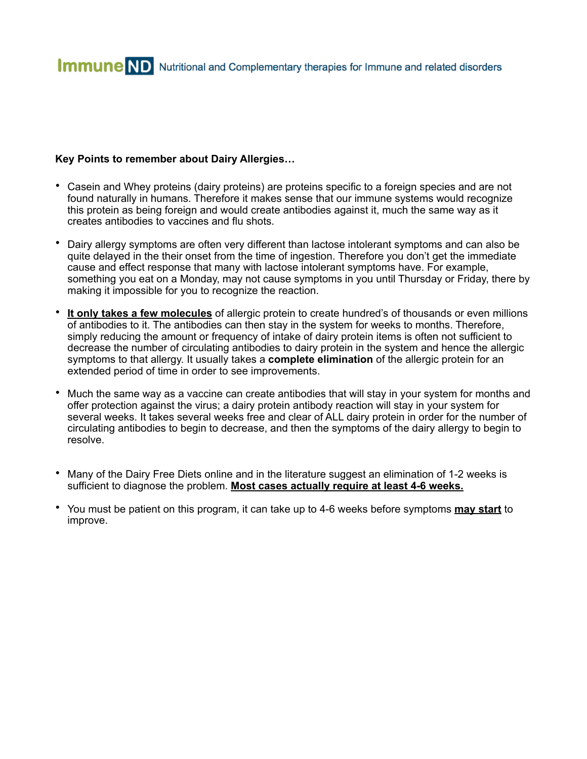# **Key Points to remember about Dairy Allergies…**

- Casein and Whey proteins (dairy proteins) are proteins specific to a foreign species and are not found naturally in humans. Therefore it makes sense that our immune systems would recognize this protein as being foreign and would create antibodies against it, much the same way as it creates antibodies to vaccines and flu shots.
- Dairy allergy symptoms are often very different than lactose intolerant symptoms and can also be quite delayed in the their onset from the time of ingestion. Therefore you don't get the immediate cause and effect response that many with lactose intolerant symptoms have. For example, something you eat on a Monday, may not cause symptoms in you until Thursday or Friday, there by making it impossible for you to recognize the reaction.
- **It only takes a few molecules** of allergic protein to create hundred's of thousands or even millions of antibodies to it. The antibodies can then stay in the system for weeks to months. Therefore, simply reducing the amount or frequency of intake of dairy protein items is often not sufficient to decrease the number of circulating antibodies to dairy protein in the system and hence the allergic symptoms to that allergy. It usually takes a **complete elimination** of the allergic protein for an extended period of time in order to see improvements.
- Much the same way as a vaccine can create antibodies that will stay in your system for months and offer protection against the virus; a dairy protein antibody reaction will stay in your system for several weeks. It takes several weeks free and clear of ALL dairy protein in order for the number of circulating antibodies to begin to decrease, and then the symptoms of the dairy allergy to begin to resolve.
- Many of the Dairy Free Diets online and in the literature suggest an elimination of 1-2 weeks is sufficient to diagnose the problem. **Most cases actually require at least 4-6 weeks.**
- You must be patient on this program, it can take up to 4-6 weeks before symptoms **may start** to improve.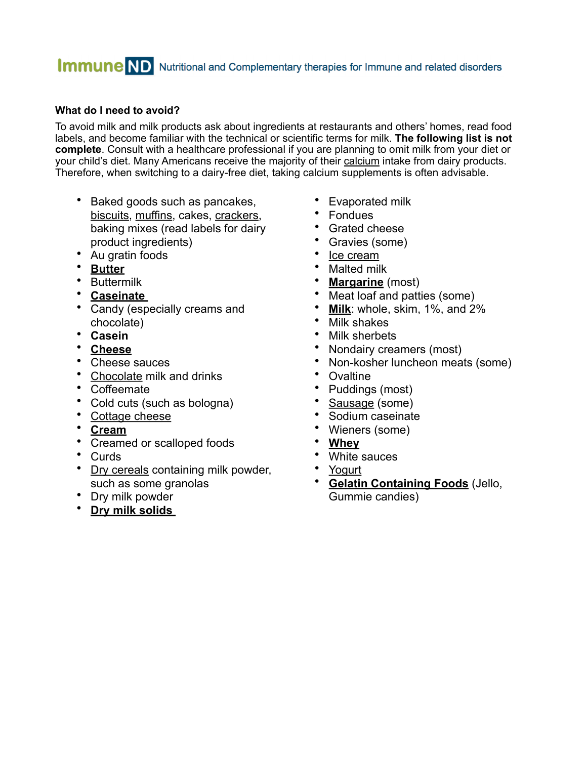# **Immune** ND Nutritional and Complementary therapies for Immune and related disorders

# **What do I need to avoid?**

To avoid milk and milk products ask about ingredients at restaurants and others' homes, read food labels, and become familiar with the technical or scientific terms for milk. **The following list is not complete**. Consult with a healthcare professional if you are planning to omit milk from your diet or your child's diet. Many Americans receive the majority of their calcium intake from dairy products. Therefore, when switching to a dairy-free diet, taking calcium supplements is often advisable.

- Baked goods such as pancakes, biscuits, muffins, cakes, crackers, baking mixes (read labels for dairy product ingredients)
- Au gratin foods
- **Butter**
- Buttermilk
- **Caseinate**
- Candy (especially creams and chocolate)
- **Casein**
- **Cheese**
- Cheese sauces<br>• Chocolate milk a
- Chocolate milk and drinks
- Coffeemate
- Cold cuts (such as bologna)
- Cottage cheese
- **Cream**
- Creamed or scalloped foods
- Curds
- Dry cereals containing milk powder, such as some granolas
- Dry milk powder
- **Dry milk solids**
- Evaporated milk
- Fondues
- Grated cheese
- Gravies (some)
- Ice cream
- Malted milk
- **Margarine** (most)
- Meat loaf and patties (some)
- **Milk**: whole, skim, 1%, and 2%
- Milk shakes
- Milk sherbets
- Nondairy creamers (most)
- Non-kosher luncheon meats (some)
- **Ovaltine**
- Puddings (most)
- Sausage (some)
- Sodium caseinate
- Wieners (some)
- **Whey**
- White sauces
- Yogurt
- **Gelatin Containing Foods** (Jello, Gummie candies)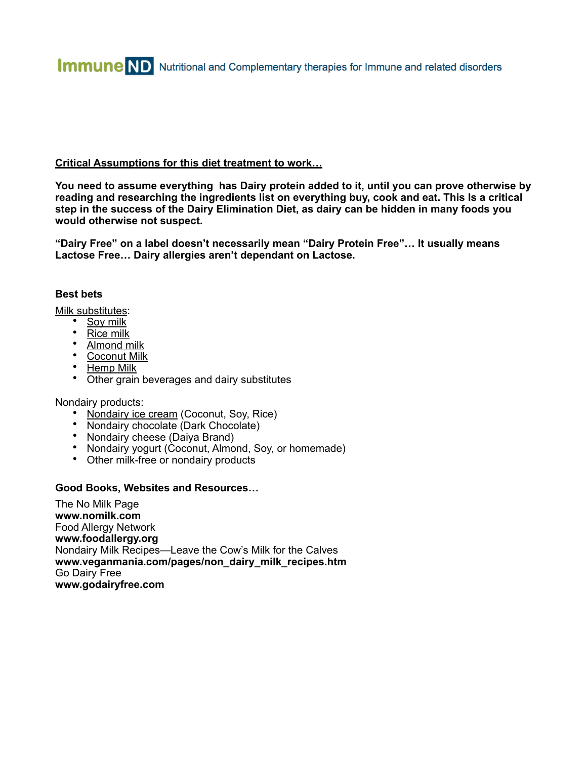# **Critical Assumptions for this diet treatment to work…**

**You need to assume everything has Dairy protein added to it, until you can prove otherwise by reading and researching the ingredients list on everything buy, cook and eat. This Is a critical step in the success of the Dairy Elimination Diet, as dairy can be hidden in many foods you would otherwise not suspect.**

**"Dairy Free" on a label doesn't necessarily mean "Dairy Protein Free"… It usually means Lactose Free… Dairy allergies aren't dependant on Lactose.**

### **Best bets**

Milk substitutes:

- Soy milk
- Rice milk
- Almond milk
- Coconut Milk
- Hemp Milk
- Other grain beverages and dairy substitutes

Nondairy products:

- Nondairy ice cream (Coconut, Soy, Rice)
- Nondairy chocolate (Dark Chocolate)
- Nondairy cheese (Daiya Brand)
- Nondairy yogurt (Coconut, Almond, Soy, or homemade)
- Other milk-free or nondairy products

#### **Good Books, Websites and Resources…**

The No Milk Page **www.nomilk.com** Food Allergy Network **www.foodallergy.org** Nondairy Milk Recipes—Leave the Cow's Milk for the Calves **www.veganmania.com/pages/non\_dairy\_milk\_recipes.htm**  Go Dairy Free **www.godairyfree.com**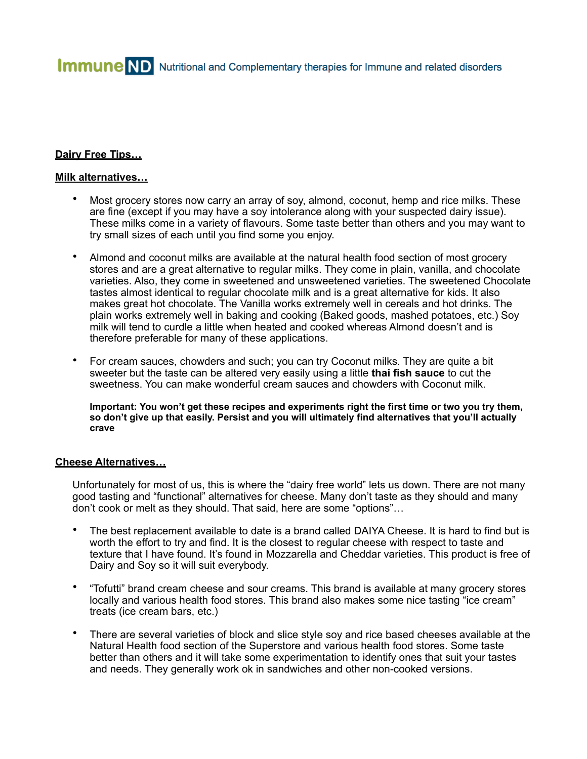**Immune** ND Nutritional and Complementary therapies for Immune and related disorders

### **Dairy Free Tips…**

#### **Milk alternatives…**

- Most grocery stores now carry an array of soy, almond, coconut, hemp and rice milks. These are fine (except if you may have a soy intolerance along with your suspected dairy issue). These milks come in a variety of flavours. Some taste better than others and you may want to try small sizes of each until you find some you enjoy.
- Almond and coconut milks are available at the natural health food section of most grocery stores and are a great alternative to regular milks. They come in plain, vanilla, and chocolate varieties. Also, they come in sweetened and unsweetened varieties. The sweetened Chocolate tastes almost identical to regular chocolate milk and is a great alternative for kids. It also makes great hot chocolate. The Vanilla works extremely well in cereals and hot drinks. The plain works extremely well in baking and cooking (Baked goods, mashed potatoes, etc.) Soy milk will tend to curdle a little when heated and cooked whereas Almond doesn't and is therefore preferable for many of these applications.
- For cream sauces, chowders and such; you can try Coconut milks. They are quite a bit sweeter but the taste can be altered very easily using a little **thai fish sauce** to cut the sweetness. You can make wonderful cream sauces and chowders with Coconut milk.

**Important: You won't get these recipes and experiments right the first time or two you try them, so don't give up that easily. Persist and you will ultimately find alternatives that you'll actually crave** 

#### **Cheese Alternatives…**

Unfortunately for most of us, this is where the "dairy free world" lets us down. There are not many good tasting and "functional" alternatives for cheese. Many don't taste as they should and many don't cook or melt as they should. That said, here are some "options"…

- The best replacement available to date is a brand called DAIYA Cheese. It is hard to find but is worth the effort to try and find. It is the closest to regular cheese with respect to taste and texture that I have found. It's found in Mozzarella and Cheddar varieties. This product is free of Dairy and Soy so it will suit everybody.
- "Tofutti" brand cream cheese and sour creams. This brand is available at many grocery stores locally and various health food stores. This brand also makes some nice tasting "ice cream" treats (ice cream bars, etc.)
- There are several varieties of block and slice style soy and rice based cheeses available at the Natural Health food section of the Superstore and various health food stores. Some taste better than others and it will take some experimentation to identify ones that suit your tastes and needs. They generally work ok in sandwiches and other non-cooked versions.